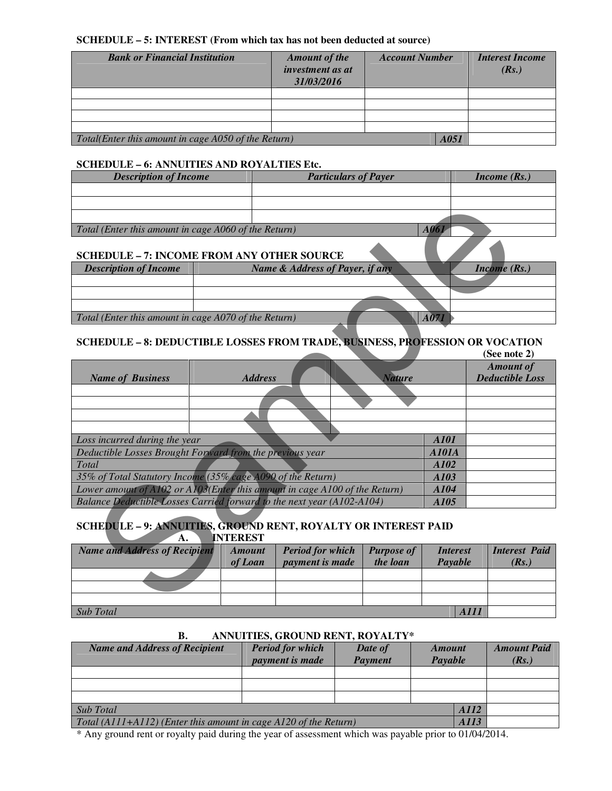## **SCHEDULE – 5: INTEREST (From which tax has not been deducted at source)**

| <b>Bank or Financial Institution</b>                | <b>Amount of the</b><br>investment as at<br>31/03/2016 | <b>Account Number</b> | <b>Interest Income</b><br>(Rs.) |
|-----------------------------------------------------|--------------------------------------------------------|-----------------------|---------------------------------|
|                                                     |                                                        |                       |                                 |
|                                                     |                                                        |                       |                                 |
|                                                     |                                                        |                       |                                 |
|                                                     |                                                        |                       |                                 |
| Total(Enter this amount in cage A050 of the Return) |                                                        | A051                  |                                 |

## **SCHEDULE – 6: ANNUITIES AND ROYALTIES Etc.**

| <b>Description of Income</b>                                     | <b>Particulars of Payer</b>                                                                                                                                                                                                                                                                                                        | <i>Income</i> $(Rs.)$ |            |
|------------------------------------------------------------------|------------------------------------------------------------------------------------------------------------------------------------------------------------------------------------------------------------------------------------------------------------------------------------------------------------------------------------|-----------------------|------------|
|                                                                  |                                                                                                                                                                                                                                                                                                                                    |                       |            |
|                                                                  |                                                                                                                                                                                                                                                                                                                                    |                       |            |
|                                                                  |                                                                                                                                                                                                                                                                                                                                    |                       |            |
| Total (Enter this amount in cage A060 of the Return)             |                                                                                                                                                                                                                                                                                                                                    |                       |            |
| <b>SCHEDULE - 7: INCOME FROM ANY OTHER SOURCE</b>                |                                                                                                                                                                                                                                                                                                                                    |                       |            |
| $\mathbf{r}$ $\mathbf{r}$ $\mathbf{r}$ $\mathbf{r}$ $\mathbf{r}$ | $\mathbf{M}$ $\mathbf{A}$ $\mathbf{I}$ $\mathbf{I}$ $\mathbf{I}$ $\mathbf{I}$ $\mathbf{I}$ $\mathbf{I}$ $\mathbf{I}$ $\mathbf{I}$ $\mathbf{I}$ $\mathbf{I}$ $\mathbf{I}$ $\mathbf{I}$ $\mathbf{I}$ $\mathbf{I}$ $\mathbf{I}$ $\mathbf{I}$ $\mathbf{I}$ $\mathbf{I}$ $\mathbf{I}$ $\mathbf{I}$ $\mathbf{I}$ $\mathbf{I}$ $\mathbf{$ |                       | $\sqrt{D}$ |

| <b>Description of Income</b>                         | <b>Name &amp; Address of Payer, if any</b><br><i>Income</i> $(Rs.)$ |
|------------------------------------------------------|---------------------------------------------------------------------|
|                                                      |                                                                     |
|                                                      |                                                                     |
|                                                      |                                                                     |
| Total (Enter this amount in cage A070 of the Return) |                                                                     |

# **SCHEDULE – 8: DEDUCTIBLE LOSSES FROM TRADE, BUSINESS, PROFESSION OR VOCATION**

| Total (Enter this amount in cage A060 of the Return)                                |                 |                                 |                   | A061            |                                            |
|-------------------------------------------------------------------------------------|-----------------|---------------------------------|-------------------|-----------------|--------------------------------------------|
|                                                                                     |                 |                                 |                   |                 |                                            |
| <b>SCHEDULE - 7: INCOME FROM ANY OTHER SOURCE</b>                                   |                 |                                 |                   |                 |                                            |
| <b>Description of Income</b>                                                        |                 | Name & Address of Payer, if any |                   |                 | Income $(Rs.)$                             |
|                                                                                     |                 |                                 |                   |                 |                                            |
|                                                                                     |                 |                                 |                   |                 |                                            |
|                                                                                     |                 |                                 |                   |                 |                                            |
| Total (Enter this amount in cage A070 of the Return)                                |                 |                                 |                   | A071            |                                            |
|                                                                                     |                 |                                 |                   |                 |                                            |
| <b>SCHEDULE - 8: DEDUCTIBLE LOSSES FROM TRADE, BUSINESS, PROFESSION OR VOCATION</b> |                 |                                 |                   |                 |                                            |
|                                                                                     |                 |                                 |                   |                 | (See note 2)                               |
| <b>Name of Business</b>                                                             | <b>Address</b>  |                                 | <b>Nature</b>     |                 | <b>Amount of</b><br><b>Deductible Loss</b> |
|                                                                                     |                 |                                 |                   |                 |                                            |
|                                                                                     |                 |                                 |                   |                 |                                            |
|                                                                                     |                 |                                 |                   |                 |                                            |
|                                                                                     |                 |                                 |                   |                 |                                            |
| Loss incurred during the year                                                       |                 |                                 |                   | A101            |                                            |
| Deductible Losses Brought Forward from the previous year                            |                 |                                 |                   | <b>A101A</b>    |                                            |
| Total                                                                               |                 |                                 |                   | A102            |                                            |
| 35% of Total Statutory Income (35% cage A090 of the Return)                         |                 |                                 |                   | A103            |                                            |
| Lower amount of A102 or A103(Enter this amount in cage A100 of the Return)          |                 |                                 |                   | A104            |                                            |
| Balance Deductible Losses Carried forward to the next year (A102-A104)              |                 |                                 |                   | A105            |                                            |
|                                                                                     |                 |                                 |                   |                 |                                            |
| SCHEDULE - 9: ANNUITIES, GROUND RENT, ROYALTY OR INTEREST PAID                      |                 |                                 |                   |                 |                                            |
| A.                                                                                  | <b>INTEREST</b> |                                 |                   |                 |                                            |
| <b>Name and Address of Recipient</b>                                                | <b>Amount</b>   | <b>Period for which</b>         | <b>Purpose of</b> | <b>Interest</b> | <b>Interest Paid</b>                       |
|                                                                                     | of Loan         | payment is made                 | the loan          | Payable         | (Rs.)                                      |
|                                                                                     |                 |                                 |                   |                 |                                            |
|                                                                                     |                 |                                 |                   |                 |                                            |
|                                                                                     |                 |                                 |                   |                 |                                            |

# **SCHEDULE – 9: ANNUITIES, GROUND RENT, ROYALTY OR INTEREST PAID A. INTEREST**

| Name and Address of Recipient | <b>Amount</b><br>of Loan | <b>Period for which</b><br><i>payment is made</i> | <b>Purpose of</b><br>the loan | <i>Interest</i><br>Payable | <b>Interest Paid</b><br>(Rs.) |
|-------------------------------|--------------------------|---------------------------------------------------|-------------------------------|----------------------------|-------------------------------|
|                               |                          |                                                   |                               |                            |                               |
|                               |                          |                                                   |                               |                            |                               |
|                               |                          |                                                   |                               |                            |                               |
| Sub Total                     |                          |                                                   |                               | <b>AIII</b>                |                               |

| <b>Name and Address of Recipient</b>                               | <b>Period for which</b><br><i>payment is made</i> | Date of<br><b>Payment</b> | <b>Amount</b><br>Payable | <b>Amount Paid</b><br>(Rs.) |
|--------------------------------------------------------------------|---------------------------------------------------|---------------------------|--------------------------|-----------------------------|
|                                                                    |                                                   |                           |                          |                             |
|                                                                    |                                                   |                           |                          |                             |
|                                                                    |                                                   |                           |                          |                             |
| Sub Total                                                          | A112                                              |                           |                          |                             |
| Total $(A111+A112)$ (Enter this amount in cage A120 of the Return) | A113                                              |                           |                          |                             |

#### **B. ANNUITIES, GROUND RENT, ROYALTY\***

\* Any ground rent or royalty paid during the year of assessment which was payable prior to 01/04/2014.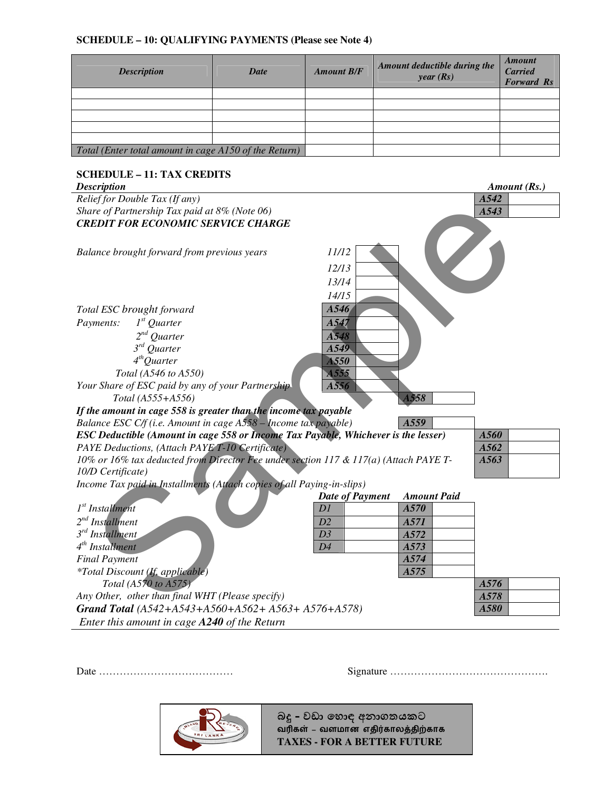### **SCHEDULE – 10: QUALIFYING PAYMENTS (Please see Note 4)**

| <b>Description</b>                                    | <b>Date</b> | <b>Amount B/F</b> | Amount deductible during the<br>year(Rs) | <b>Amount</b><br><b>Carried</b><br><b>Forward Rs</b> |
|-------------------------------------------------------|-------------|-------------------|------------------------------------------|------------------------------------------------------|
|                                                       |             |                   |                                          |                                                      |
|                                                       |             |                   |                                          |                                                      |
|                                                       |             |                   |                                          |                                                      |
|                                                       |             |                   |                                          |                                                      |
|                                                       |             |                   |                                          |                                                      |
| Total (Enter total amount in cage A150 of the Return) |             |                   |                                          |                                                      |

# **SCHEDULE – 11: TAX CREDITS**

| <b>Description</b>                                                                                        |                        |                    | Amount (Rs.) |
|-----------------------------------------------------------------------------------------------------------|------------------------|--------------------|--------------|
| Relief for Double Tax (If any)                                                                            |                        |                    | A542         |
| Share of Partnership Tax paid at 8% (Note 06)                                                             |                        |                    | A543         |
| <b>CREDIT FOR ECONOMIC SERVICE CHARGE</b>                                                                 |                        |                    |              |
|                                                                                                           |                        |                    |              |
| Balance brought forward from previous years                                                               | 11/12                  |                    |              |
|                                                                                                           | 12/13                  |                    |              |
|                                                                                                           | 13/14                  |                    |              |
|                                                                                                           | 14/15                  |                    |              |
| Total ESC brought forward                                                                                 | A546                   |                    |              |
| $1st$ Quarter<br>Payments:                                                                                | A547                   |                    |              |
| $2^{nd}$<br><b>Ouarter</b>                                                                                | A548                   |                    |              |
| $3^{rd}$ Quarter                                                                                          | A549                   |                    |              |
| $4th$ Quarter                                                                                             | A550                   |                    |              |
| Total (A546 to A550)                                                                                      | A555                   |                    |              |
| Your Share of ESC paid by any of your Partnership                                                         | A556                   |                    |              |
| Total (A555+A556)                                                                                         |                        | A558               |              |
| If the amount in cage 558 is greater than the income tax payable                                          |                        |                    |              |
| Balance ESC C/f (i.e. Amount in cage A558 - Income tax payable)                                           |                        | A559               |              |
| <b>ESC Deductible (Amount in cage 558 or Income Tax Payable, Whichever is the lesser)</b>                 |                        |                    | A560         |
| PAYE Deductions, (Attach PAYE T-10 Certificate)                                                           |                        |                    | A562         |
| 10% or 16% tax deducted from Director Fee under section 117 & 117(a) (Attach PAYE T-<br>10/D Certificate) |                        |                    | A563         |
| Income Tax paid in Installments (Attach copies of all Paying-in-slips)                                    |                        |                    |              |
|                                                                                                           | <b>Date of Payment</b> | <b>Amount Paid</b> |              |
| $1st$ Installment                                                                                         | DI                     | A570               |              |
| $2^{nd}$ Installment                                                                                      | D2                     | A571               |              |
| $3^{rd}$ Installment                                                                                      | D3                     | A572               |              |
| $4th$ Installment                                                                                         | D4                     | A573               |              |
| <b>Final Payment</b>                                                                                      |                        | A574               |              |
| <i>*Total Discount (If, applicable)</i>                                                                   |                        | A575               |              |
| Total (A570 to A575)                                                                                      |                        |                    | A576         |
| Any Other, other than final WHT (Please specify)                                                          |                        |                    | A578         |
| Grand Total (A542+A543+A560+A562+ A563+ A576+A578)                                                        |                        |                    | A580         |
| Enter this amount in cage A240 of the Return                                                              |                        |                    |              |

Date ………………………………… Signature ……………………………………….



බදු - වඩා හොඳ අනාගතයකට வரிகள் – வளமான எதிர்காலத்திற்காக **TAXES - FOR A BETTER FUTURE**